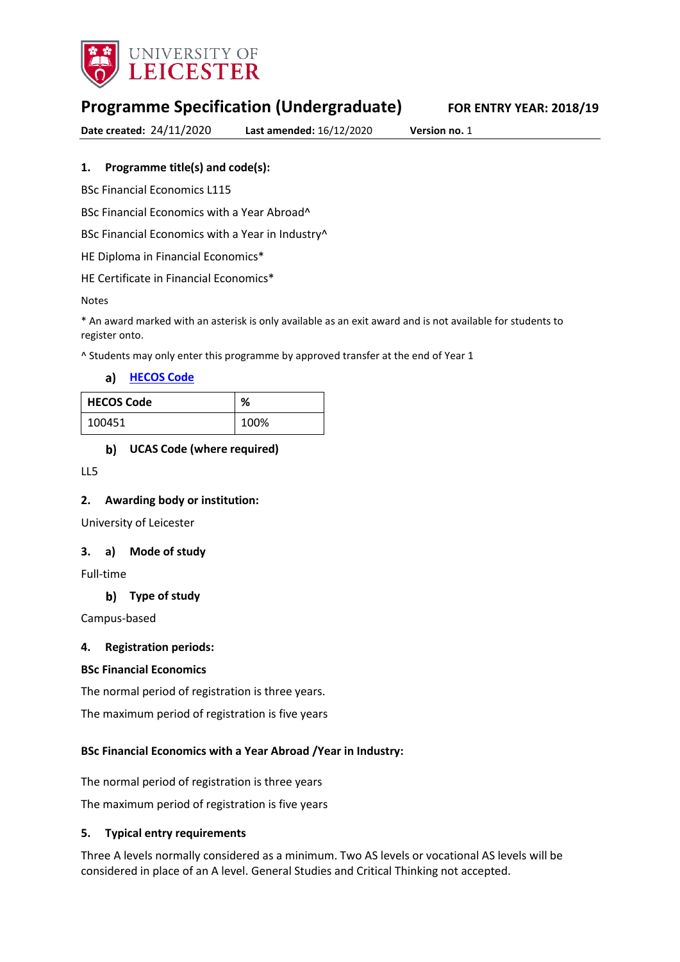

# **Programme Specification (Undergraduate) FOR ENTRY YEAR: 2018/19**

**Date created:** 24/11/2020 **Last amended:** 16/12/2020 **Version no.** 1

### **1. Programme title(s) and code(s):**

BSc Financial Economics L115

BSc Financial Economics with a Year Abroad^

BSc Financial Economics with a Year in Industry^

HE Diploma in Financial Economics\*

HE Certificate in Financial Economics\*

#### Notes

\* An award marked with an asterisk is only available as an exit award and is not available for students to register onto.

^ Students may only enter this programme by approved transfer at the end of Year 1

a) [HECOS Code](https://www.hesa.ac.uk/innovation/hecos)

| <b>HECOS Code</b> | ℅    |
|-------------------|------|
| 100451            | 100% |

**UCAS Code (where required)**

LL5

#### **2. Awarding body or institution:**

University of Leicester

#### **3. a) Mode of study**

Full-time

#### **Type of study**

Campus-based

#### **4. Registration periods:**

#### **BSc Financial Economics**

The normal period of registration is three years.

The maximum period of registration is five years

#### **BSc Financial Economics with a Year Abroad /Year in Industry:**

The normal period of registration is three years

The maximum period of registration is five years

#### **5. Typical entry requirements**

Three A levels normally considered as a minimum. Two AS levels or vocational AS levels will be considered in place of an A level. General Studies and Critical Thinking not accepted.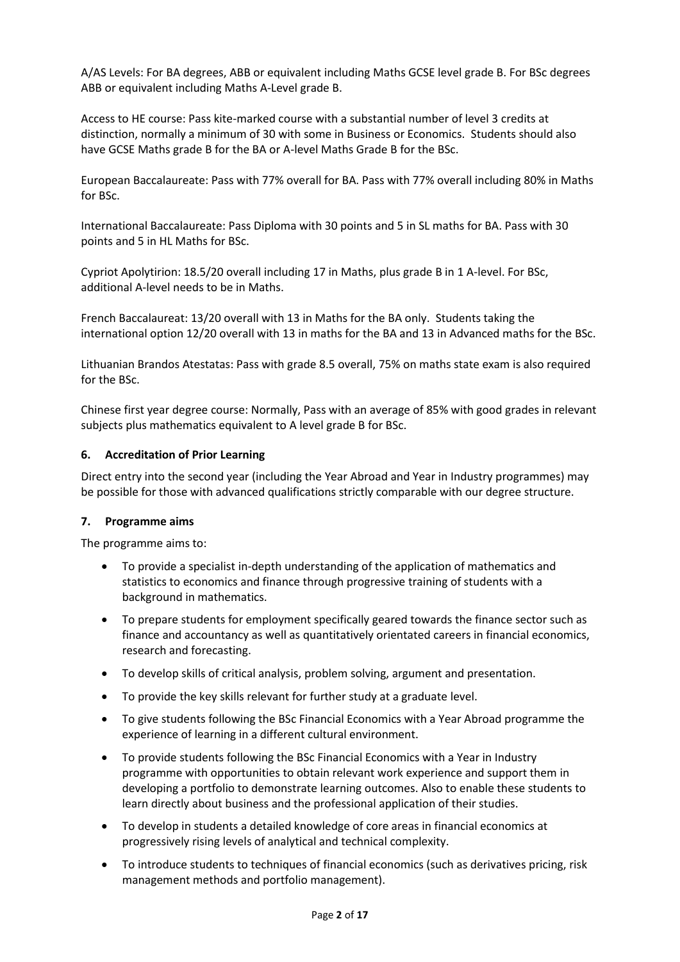A/AS Levels: For BA degrees, ABB or equivalent including Maths GCSE level grade B. For BSc degrees ABB or equivalent including Maths A-Level grade B.

Access to HE course: Pass kite-marked course with a substantial number of level 3 credits at distinction, normally a minimum of 30 with some in Business or Economics. Students should also have GCSE Maths grade B for the BA or A-level Maths Grade B for the BSc.

European Baccalaureate: Pass with 77% overall for BA. Pass with 77% overall including 80% in Maths for BSc.

International Baccalaureate: Pass Diploma with 30 points and 5 in SL maths for BA. Pass with 30 points and 5 in HL Maths for BSc.

Cypriot Apolytirion: 18.5/20 overall including 17 in Maths, plus grade B in 1 A-level. For BSc, additional A-level needs to be in Maths.

French Baccalaureat: 13/20 overall with 13 in Maths for the BA only. Students taking the international option 12/20 overall with 13 in maths for the BA and 13 in Advanced maths for the BSc.

Lithuanian Brandos Atestatas: Pass with grade 8.5 overall, 75% on maths state exam is also required for the BSc.

Chinese first year degree course: Normally, Pass with an average of 85% with good grades in relevant subjects plus mathematics equivalent to A level grade B for BSc.

#### **6. Accreditation of Prior Learning**

Direct entry into the second year (including the Year Abroad and Year in Industry programmes) may be possible for those with advanced qualifications strictly comparable with our degree structure.

#### **7. Programme aims**

The programme aims to:

- To provide a specialist in-depth understanding of the application of mathematics and statistics to economics and finance through progressive training of students with a background in mathematics.
- To prepare students for employment specifically geared towards the finance sector such as finance and accountancy as well as quantitatively orientated careers in financial economics, research and forecasting.
- To develop skills of critical analysis, problem solving, argument and presentation.
- To provide the key skills relevant for further study at a graduate level.
- To give students following the BSc Financial Economics with a Year Abroad programme the experience of learning in a different cultural environment.
- To provide students following the BSc Financial Economics with a Year in Industry programme with opportunities to obtain relevant work experience and support them in developing a portfolio to demonstrate learning outcomes. Also to enable these students to learn directly about business and the professional application of their studies.
- To develop in students a detailed knowledge of core areas in financial economics at progressively rising levels of analytical and technical complexity.
- To introduce students to techniques of financial economics (such as derivatives pricing, risk management methods and portfolio management).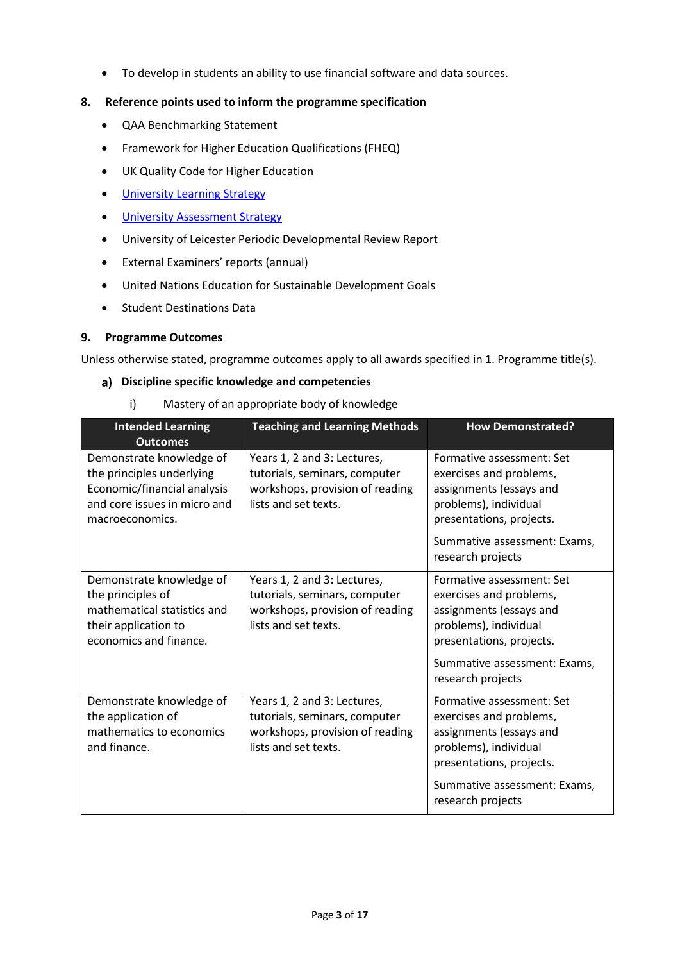To develop in students an ability to use financial software and data sources.

### **8. Reference points used to inform the programme specification**

- QAA Benchmarking Statement
- Framework for Higher Education Qualifications (FHEQ)
- UK Quality Code for Higher Education
- **•** University Learnin[g Strategy](https://www2.le.ac.uk/offices/sas2/quality/learnteach)
- **.** [University Assessment Strategy](https://www2.le.ac.uk/offices/sas2/quality/learnteach)
- University of Leicester Periodic Developmental Review Report
- External Examiners' reports (annual)
- United Nations Education for Sustainable Development Goals
- **•** Student Destinations Data

### **9. Programme Outcomes**

Unless otherwise stated, programme outcomes apply to all awards specified in 1. Programme title(s).

#### **Discipline specific knowledge and competencies**

i) Mastery of an appropriate body of knowledge

| <b>Intended Learning</b><br><b>Outcomes</b>                                                                                             | <b>Teaching and Learning Methods</b>                                                                                    | <b>How Demonstrated?</b>                                                                                                                                                                  |
|-----------------------------------------------------------------------------------------------------------------------------------------|-------------------------------------------------------------------------------------------------------------------------|-------------------------------------------------------------------------------------------------------------------------------------------------------------------------------------------|
| Demonstrate knowledge of<br>the principles underlying<br>Economic/financial analysis<br>and core issues in micro and<br>macroeconomics. | Years 1, 2 and 3: Lectures,<br>tutorials, seminars, computer<br>workshops, provision of reading<br>lists and set texts. | Formative assessment: Set<br>exercises and problems,<br>assignments (essays and<br>problems), individual<br>presentations, projects.<br>Summative assessment: Exams,<br>research projects |
| Demonstrate knowledge of<br>the principles of<br>mathematical statistics and<br>their application to<br>economics and finance.          | Years 1, 2 and 3: Lectures,<br>tutorials, seminars, computer<br>workshops, provision of reading<br>lists and set texts. | Formative assessment: Set<br>exercises and problems,<br>assignments (essays and<br>problems), individual<br>presentations, projects.<br>Summative assessment: Exams,<br>research projects |
| Demonstrate knowledge of<br>the application of<br>mathematics to economics<br>and finance.                                              | Years 1, 2 and 3: Lectures,<br>tutorials, seminars, computer<br>workshops, provision of reading<br>lists and set texts. | Formative assessment: Set<br>exercises and problems,<br>assignments (essays and<br>problems), individual<br>presentations, projects.<br>Summative assessment: Exams,<br>research projects |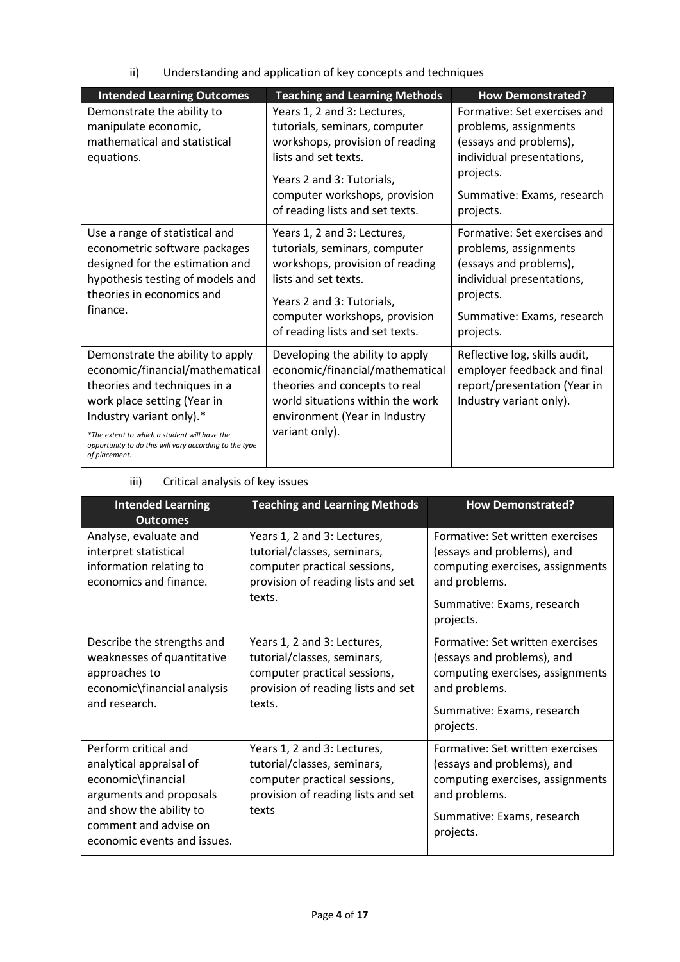ii) Understanding and application of key concepts and techniques

| <b>Intended Learning Outcomes</b>                                                                                                                                                                                                                                                         | <b>Teaching and Learning Methods</b>                                                                                                                                                                                     | <b>How Demonstrated?</b>                                                                                                                                             |
|-------------------------------------------------------------------------------------------------------------------------------------------------------------------------------------------------------------------------------------------------------------------------------------------|--------------------------------------------------------------------------------------------------------------------------------------------------------------------------------------------------------------------------|----------------------------------------------------------------------------------------------------------------------------------------------------------------------|
| Demonstrate the ability to<br>manipulate economic,<br>mathematical and statistical<br>equations.                                                                                                                                                                                          | Years 1, 2 and 3: Lectures,<br>tutorials, seminars, computer<br>workshops, provision of reading<br>lists and set texts.<br>Years 2 and 3: Tutorials,<br>computer workshops, provision<br>of reading lists and set texts. | Formative: Set exercises and<br>problems, assignments<br>(essays and problems),<br>individual presentations,<br>projects.<br>Summative: Exams, research<br>projects. |
| Use a range of statistical and<br>econometric software packages<br>designed for the estimation and<br>hypothesis testing of models and<br>theories in economics and<br>finance.                                                                                                           | Years 1, 2 and 3: Lectures,<br>tutorials, seminars, computer<br>workshops, provision of reading<br>lists and set texts.<br>Years 2 and 3: Tutorials,<br>computer workshops, provision<br>of reading lists and set texts. | Formative: Set exercises and<br>problems, assignments<br>(essays and problems),<br>individual presentations,<br>projects.<br>Summative: Exams, research<br>projects. |
| Demonstrate the ability to apply<br>economic/financial/mathematical<br>theories and techniques in a<br>work place setting (Year in<br>Industry variant only).*<br>*The extent to which a student will have the<br>opportunity to do this will vary according to the type<br>of placement. | Developing the ability to apply<br>economic/financial/mathematical<br>theories and concepts to real<br>world situations within the work<br>environment (Year in Industry<br>variant only).                               | Reflective log, skills audit,<br>employer feedback and final<br>report/presentation (Year in<br>Industry variant only).                                              |

| <b>Intended Learning</b><br><b>Outcomes</b>                                                                                                                                         | <b>Teaching and Learning Methods</b>                                                                                                       | <b>How Demonstrated?</b>                                                                                                                                       |
|-------------------------------------------------------------------------------------------------------------------------------------------------------------------------------------|--------------------------------------------------------------------------------------------------------------------------------------------|----------------------------------------------------------------------------------------------------------------------------------------------------------------|
| Analyse, evaluate and<br>interpret statistical<br>information relating to<br>economics and finance.                                                                                 | Years 1, 2 and 3: Lectures,<br>tutorial/classes, seminars,<br>computer practical sessions,<br>provision of reading lists and set<br>texts. | Formative: Set written exercises<br>(essays and problems), and<br>computing exercises, assignments<br>and problems.<br>Summative: Exams, research<br>projects. |
| Describe the strengths and<br>weaknesses of quantitative<br>approaches to<br>economic\financial analysis<br>and research.                                                           | Years 1, 2 and 3: Lectures,<br>tutorial/classes, seminars,<br>computer practical sessions,<br>provision of reading lists and set<br>texts. | Formative: Set written exercises<br>(essays and problems), and<br>computing exercises, assignments<br>and problems.<br>Summative: Exams, research<br>projects. |
| Perform critical and<br>analytical appraisal of<br>economic\financial<br>arguments and proposals<br>and show the ability to<br>comment and advise on<br>economic events and issues. | Years 1, 2 and 3: Lectures,<br>tutorial/classes, seminars,<br>computer practical sessions,<br>provision of reading lists and set<br>texts  | Formative: Set written exercises<br>(essays and problems), and<br>computing exercises, assignments<br>and problems.<br>Summative: Exams, research<br>projects. |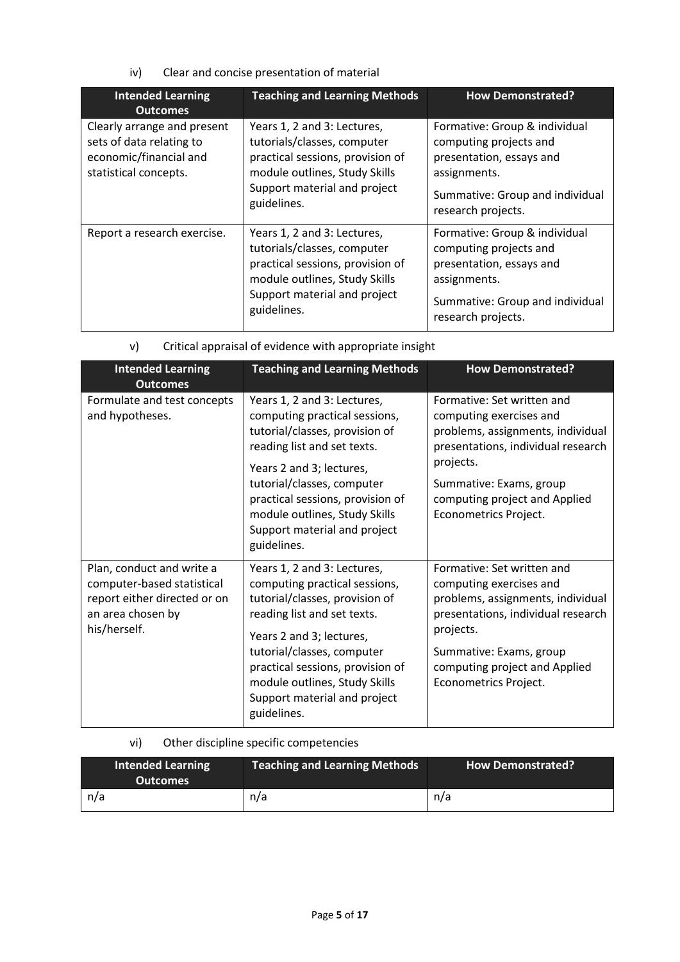iv) Clear and concise presentation of material

| <b>Intended Learning</b><br><b>Outcomes</b>                                                                | <b>Teaching and Learning Methods</b>                                                                                                                                           | <b>How Demonstrated?</b>                                                                                                                                     |
|------------------------------------------------------------------------------------------------------------|--------------------------------------------------------------------------------------------------------------------------------------------------------------------------------|--------------------------------------------------------------------------------------------------------------------------------------------------------------|
| Clearly arrange and present<br>sets of data relating to<br>economic/financial and<br>statistical concepts. | Years 1, 2 and 3: Lectures,<br>tutorials/classes, computer<br>practical sessions, provision of<br>module outlines, Study Skills<br>Support material and project<br>guidelines. | Formative: Group & individual<br>computing projects and<br>presentation, essays and<br>assignments.<br>Summative: Group and individual<br>research projects. |
| Report a research exercise.                                                                                | Years 1, 2 and 3: Lectures,<br>tutorials/classes, computer<br>practical sessions, provision of<br>module outlines, Study Skills<br>Support material and project<br>guidelines. | Formative: Group & individual<br>computing projects and<br>presentation, essays and<br>assignments.<br>Summative: Group and individual<br>research projects. |

| v) | Critical appraisal of evidence with appropriate insight |  |  |
|----|---------------------------------------------------------|--|--|
|    |                                                         |  |  |

| <b>Intended Learning</b><br><b>Outcomes</b>                                                                                  | <b>Teaching and Learning Methods</b>                                                                                                                                                                                                                                                                        | <b>How Demonstrated?</b>                                                                                                                                                                                                           |
|------------------------------------------------------------------------------------------------------------------------------|-------------------------------------------------------------------------------------------------------------------------------------------------------------------------------------------------------------------------------------------------------------------------------------------------------------|------------------------------------------------------------------------------------------------------------------------------------------------------------------------------------------------------------------------------------|
| Formulate and test concepts<br>and hypotheses.                                                                               | Years 1, 2 and 3: Lectures,<br>computing practical sessions,<br>tutorial/classes, provision of<br>reading list and set texts.<br>Years 2 and 3; lectures,<br>tutorial/classes, computer<br>practical sessions, provision of<br>module outlines, Study Skills<br>Support material and project<br>guidelines. | Formative: Set written and<br>computing exercises and<br>problems, assignments, individual<br>presentations, individual research<br>projects.<br>Summative: Exams, group<br>computing project and Applied<br>Econometrics Project. |
| Plan, conduct and write a<br>computer-based statistical<br>report either directed or on<br>an area chosen by<br>his/herself. | Years 1, 2 and 3: Lectures,<br>computing practical sessions,<br>tutorial/classes, provision of<br>reading list and set texts.<br>Years 2 and 3; lectures,<br>tutorial/classes, computer<br>practical sessions, provision of<br>module outlines, Study Skills<br>Support material and project<br>guidelines. | Formative: Set written and<br>computing exercises and<br>problems, assignments, individual<br>presentations, individual research<br>projects.<br>Summative: Exams, group<br>computing project and Applied<br>Econometrics Project. |

## vi) Other discipline specific competencies

| <b>Intended Learning</b><br><b>Outcomes</b> | <b>Teaching and Learning Methods</b> | <b>How Demonstrated?</b> |
|---------------------------------------------|--------------------------------------|--------------------------|
| n/a                                         | n/a                                  | n/a                      |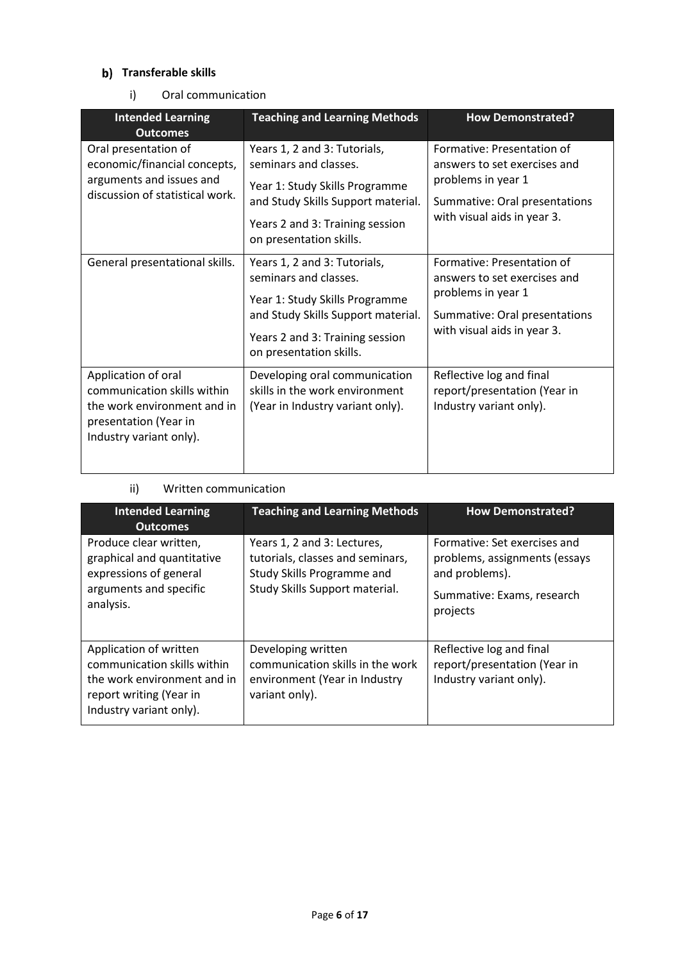## **b)** Transferable skills

i) Oral communication

| <b>Intended Learning</b><br><b>Outcomes</b>                                                                                           | <b>Teaching and Learning Methods</b>                                                                                                                                                        | <b>How Demonstrated?</b>                                                                                                                         |
|---------------------------------------------------------------------------------------------------------------------------------------|---------------------------------------------------------------------------------------------------------------------------------------------------------------------------------------------|--------------------------------------------------------------------------------------------------------------------------------------------------|
| Oral presentation of<br>economic/financial concepts,<br>arguments and issues and<br>discussion of statistical work.                   | Years 1, 2 and 3: Tutorials,<br>seminars and classes.<br>Year 1: Study Skills Programme<br>and Study Skills Support material.<br>Years 2 and 3: Training session<br>on presentation skills. | Formative: Presentation of<br>answers to set exercises and<br>problems in year 1<br>Summative: Oral presentations<br>with visual aids in year 3. |
| General presentational skills.                                                                                                        | Years 1, 2 and 3: Tutorials,<br>seminars and classes.<br>Year 1: Study Skills Programme<br>and Study Skills Support material.<br>Years 2 and 3: Training session<br>on presentation skills. | Formative: Presentation of<br>answers to set exercises and<br>problems in year 1<br>Summative: Oral presentations<br>with visual aids in year 3. |
| Application of oral<br>communication skills within<br>the work environment and in<br>presentation (Year in<br>Industry variant only). | Developing oral communication<br>skills in the work environment<br>(Year in Industry variant only).                                                                                         | Reflective log and final<br>report/presentation (Year in<br>Industry variant only).                                                              |

### ii) Written communication

| <b>Intended Learning</b><br><b>Outcomes</b>                                                                                                | <b>Teaching and Learning Methods</b>                                                                                            | <b>How Demonstrated?</b>                                                                                                  |
|--------------------------------------------------------------------------------------------------------------------------------------------|---------------------------------------------------------------------------------------------------------------------------------|---------------------------------------------------------------------------------------------------------------------------|
| Produce clear written,<br>graphical and quantitative<br>expressions of general<br>arguments and specific<br>analysis.                      | Years 1, 2 and 3: Lectures,<br>tutorials, classes and seminars,<br>Study Skills Programme and<br>Study Skills Support material. | Formative: Set exercises and<br>problems, assignments (essays<br>and problems).<br>Summative: Exams, research<br>projects |
| Application of written<br>communication skills within<br>the work environment and in<br>report writing (Year in<br>Industry variant only). | Developing written<br>communication skills in the work<br>environment (Year in Industry<br>variant only).                       | Reflective log and final<br>report/presentation (Year in<br>Industry variant only).                                       |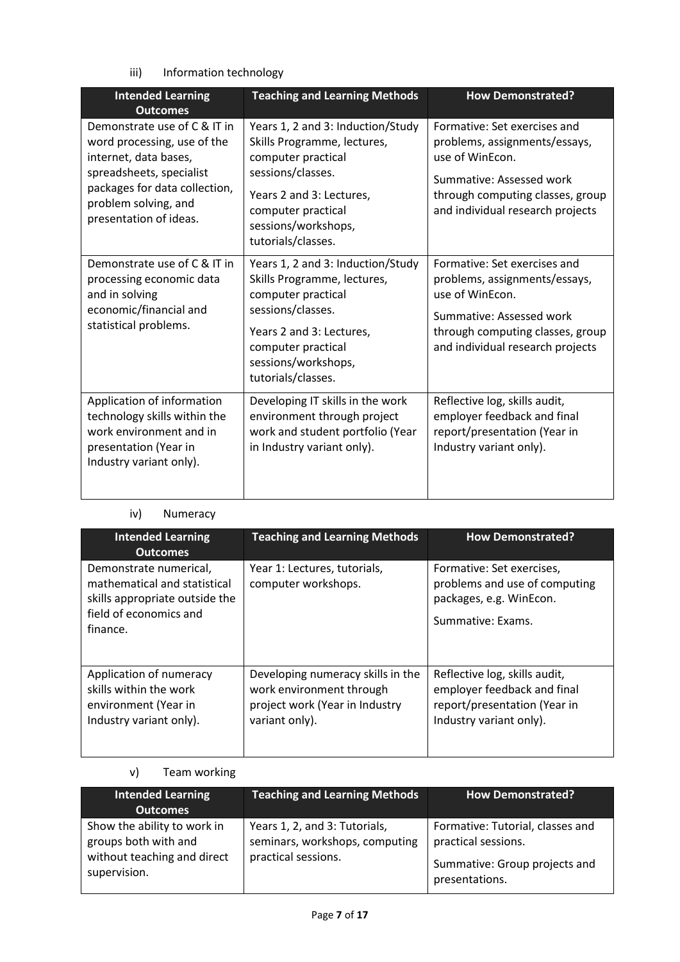iii) Information technology

| <b>Intended Learning</b><br><b>Outcomes</b>                                                                                                                                                         | <b>Teaching and Learning Methods</b>                                                                                                                                                                       | <b>How Demonstrated?</b>                                                                                                                                                             |
|-----------------------------------------------------------------------------------------------------------------------------------------------------------------------------------------------------|------------------------------------------------------------------------------------------------------------------------------------------------------------------------------------------------------------|--------------------------------------------------------------------------------------------------------------------------------------------------------------------------------------|
| Demonstrate use of C & IT in<br>word processing, use of the<br>internet, data bases,<br>spreadsheets, specialist<br>packages for data collection,<br>problem solving, and<br>presentation of ideas. | Years 1, 2 and 3: Induction/Study<br>Skills Programme, lectures,<br>computer practical<br>sessions/classes.<br>Years 2 and 3: Lectures,<br>computer practical<br>sessions/workshops,<br>tutorials/classes. | Formative: Set exercises and<br>problems, assignments/essays,<br>use of WinEcon.<br>Summative: Assessed work<br>through computing classes, group<br>and individual research projects |
| Demonstrate use of C & IT in<br>processing economic data<br>and in solving<br>economic/financial and<br>statistical problems.                                                                       | Years 1, 2 and 3: Induction/Study<br>Skills Programme, lectures,<br>computer practical<br>sessions/classes.<br>Years 2 and 3: Lectures,<br>computer practical<br>sessions/workshops,<br>tutorials/classes. | Formative: Set exercises and<br>problems, assignments/essays,<br>use of WinEcon.<br>Summative: Assessed work<br>through computing classes, group<br>and individual research projects |
| Application of information<br>technology skills within the<br>work environment and in<br>presentation (Year in<br>Industry variant only).                                                           | Developing IT skills in the work<br>environment through project<br>work and student portfolio (Year<br>in Industry variant only).                                                                          | Reflective log, skills audit,<br>employer feedback and final<br>report/presentation (Year in<br>Industry variant only).                                                              |

### iv) Numeracy

| <b>Intended Learning</b><br><b>Outcomes</b>                                                                                    | <b>Teaching and Learning Methods</b>                                                                              | <b>How Demonstrated?</b>                                                                                                |  |
|--------------------------------------------------------------------------------------------------------------------------------|-------------------------------------------------------------------------------------------------------------------|-------------------------------------------------------------------------------------------------------------------------|--|
| Demonstrate numerical,<br>mathematical and statistical<br>skills appropriate outside the<br>field of economics and<br>finance. | Year 1: Lectures, tutorials,<br>computer workshops.                                                               | Formative: Set exercises,<br>problems and use of computing<br>packages, e.g. WinEcon.<br>Summative: Exams.              |  |
| Application of numeracy<br>skills within the work<br>environment (Year in<br>Industry variant only).                           | Developing numeracy skills in the<br>work environment through<br>project work (Year in Industry<br>variant only). | Reflective log, skills audit,<br>employer feedback and final<br>report/presentation (Year in<br>Industry variant only). |  |

## v) Team working

| <b>Intended Learning</b><br><b>Outcomes</b>                                                        | <b>Teaching and Learning Methods</b>                                                   | <b>How Demonstrated?</b>                                                                                   |
|----------------------------------------------------------------------------------------------------|----------------------------------------------------------------------------------------|------------------------------------------------------------------------------------------------------------|
| Show the ability to work in<br>groups both with and<br>without teaching and direct<br>supervision. | Years 1, 2, and 3: Tutorials,<br>seminars, workshops, computing<br>practical sessions. | Formative: Tutorial, classes and<br>practical sessions.<br>Summative: Group projects and<br>presentations. |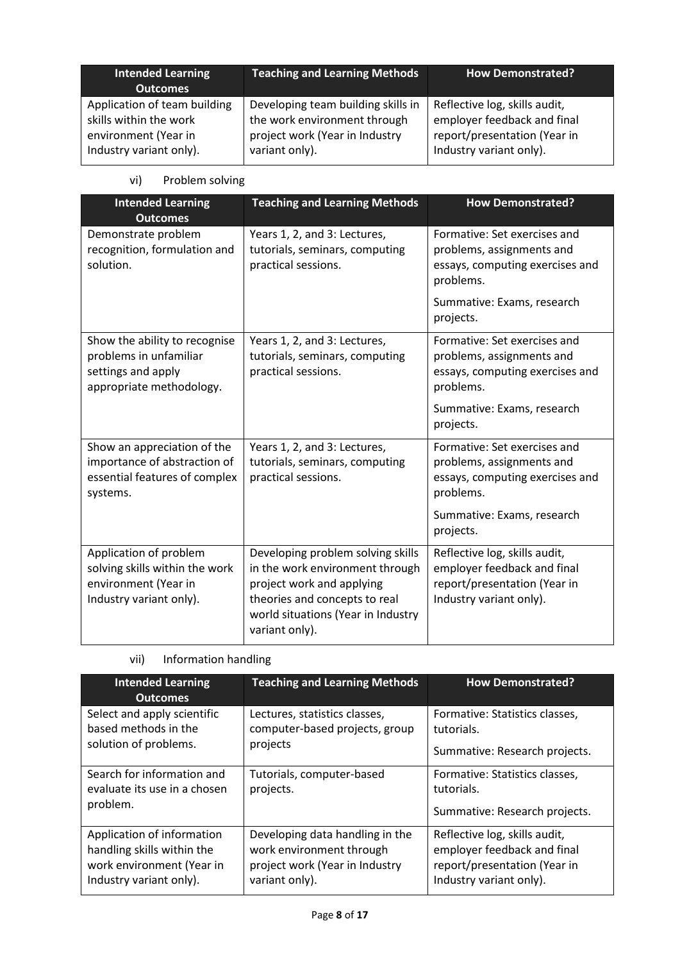| Intended Learning<br><b>Outcomes</b> | <b>Teaching and Learning Methods</b> | <b>How Demonstrated?</b>      |
|--------------------------------------|--------------------------------------|-------------------------------|
| Application of team building         | Developing team building skills in   | Reflective log, skills audit, |
| skills within the work               | the work environment through         | employer feedback and final   |
| environment (Year in                 | project work (Year in Industry       | report/presentation (Year in  |
| Industry variant only).              | variant only).                       | Industry variant only).       |

## vi) Problem solving

| <b>Intended Learning</b><br><b>Outcomes</b>                                                                 | <b>Teaching and Learning Methods</b>                                                                                                                                                       | <b>How Demonstrated?</b>                                                                                                                             |  |
|-------------------------------------------------------------------------------------------------------------|--------------------------------------------------------------------------------------------------------------------------------------------------------------------------------------------|------------------------------------------------------------------------------------------------------------------------------------------------------|--|
| Demonstrate problem<br>recognition, formulation and<br>solution.                                            | Years 1, 2, and 3: Lectures,<br>tutorials, seminars, computing<br>practical sessions.                                                                                                      | Formative: Set exercises and<br>problems, assignments and<br>essays, computing exercises and<br>problems.<br>Summative: Exams, research<br>projects. |  |
| Show the ability to recognise<br>problems in unfamiliar<br>settings and apply<br>appropriate methodology.   | Years 1, 2, and 3: Lectures,<br>tutorials, seminars, computing<br>practical sessions.                                                                                                      | Formative: Set exercises and<br>problems, assignments and<br>essays, computing exercises and<br>problems.                                            |  |
|                                                                                                             |                                                                                                                                                                                            | Summative: Exams, research<br>projects.                                                                                                              |  |
| Show an appreciation of the<br>importance of abstraction of<br>essential features of complex<br>systems.    | Years 1, 2, and 3: Lectures,<br>tutorials, seminars, computing<br>practical sessions.                                                                                                      | Formative: Set exercises and<br>problems, assignments and<br>essays, computing exercises and<br>problems.                                            |  |
|                                                                                                             |                                                                                                                                                                                            | Summative: Exams, research<br>projects.                                                                                                              |  |
| Application of problem<br>solving skills within the work<br>environment (Year in<br>Industry variant only). | Developing problem solving skills<br>in the work environment through<br>project work and applying<br>theories and concepts to real<br>world situations (Year in Industry<br>variant only). | Reflective log, skills audit,<br>employer feedback and final<br>report/presentation (Year in<br>Industry variant only).                              |  |

| <b>Intended Learning</b><br><b>Outcomes</b>                            | <b>Teaching and Learning Methods</b>   | <b>How Demonstrated?</b>                                                      |  |
|------------------------------------------------------------------------|----------------------------------------|-------------------------------------------------------------------------------|--|
| Select and apply scientific                                            | Lectures, statistics classes,          | Formative: Statistics classes,                                                |  |
| based methods in the                                                   | computer-based projects, group         | tutorials.                                                                    |  |
| solution of problems.                                                  | projects                               | Summative: Research projects.                                                 |  |
| Search for information and<br>evaluate its use in a chosen<br>problem. | Tutorials, computer-based<br>projects. | Formative: Statistics classes,<br>tutorials.<br>Summative: Research projects. |  |
| Application of information                                             | Developing data handling in the        | Reflective log, skills audit,                                                 |  |
| handling skills within the                                             | work environment through               | employer feedback and final                                                   |  |
| work environment (Year in                                              | project work (Year in Industry         | report/presentation (Year in                                                  |  |
| Industry variant only).                                                | variant only).                         | Industry variant only).                                                       |  |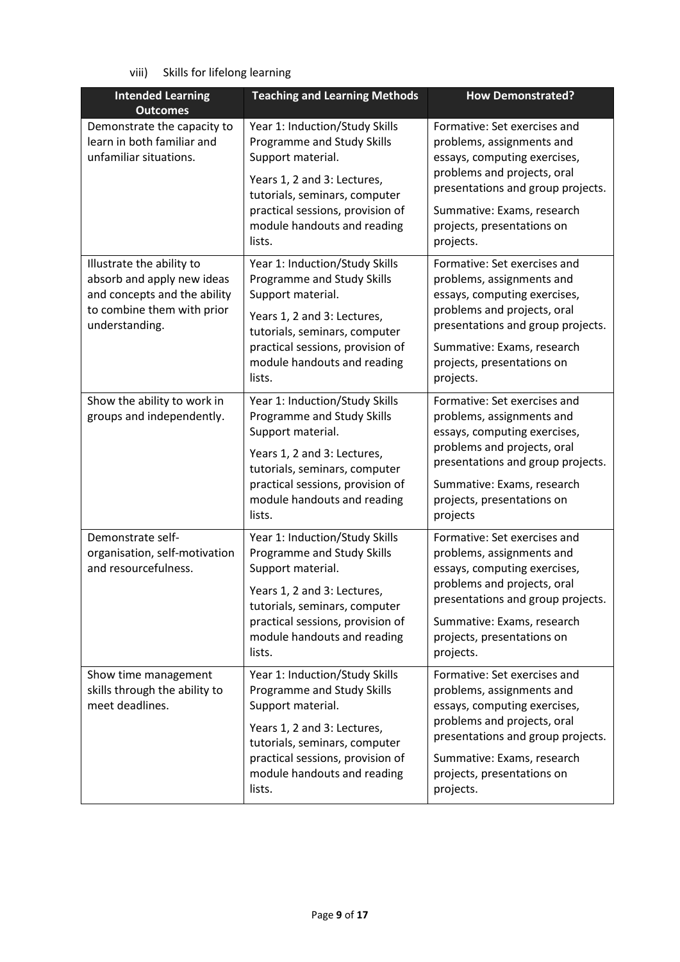viii) Skills for lifelong learning

| <b>Intended Learning</b><br><b>Outcomes</b>                                                                                             | <b>Teaching and Learning Methods</b>                                                                                                                                                                                           | <b>How Demonstrated?</b>                                                                                                                                                                                                               |  |
|-----------------------------------------------------------------------------------------------------------------------------------------|--------------------------------------------------------------------------------------------------------------------------------------------------------------------------------------------------------------------------------|----------------------------------------------------------------------------------------------------------------------------------------------------------------------------------------------------------------------------------------|--|
| Demonstrate the capacity to<br>learn in both familiar and<br>unfamiliar situations.                                                     | Year 1: Induction/Study Skills<br>Programme and Study Skills<br>Support material.                                                                                                                                              | Formative: Set exercises and<br>problems, assignments and<br>essays, computing exercises,                                                                                                                                              |  |
|                                                                                                                                         | Years 1, 2 and 3: Lectures,<br>tutorials, seminars, computer<br>practical sessions, provision of<br>module handouts and reading<br>lists.                                                                                      | problems and projects, oral<br>presentations and group projects.<br>Summative: Exams, research<br>projects, presentations on<br>projects.                                                                                              |  |
| Illustrate the ability to<br>absorb and apply new ideas<br>and concepts and the ability<br>to combine them with prior<br>understanding. | Year 1: Induction/Study Skills<br>Programme and Study Skills<br>Support material.<br>Years 1, 2 and 3: Lectures,<br>tutorials, seminars, computer<br>practical sessions, provision of<br>module handouts and reading<br>lists. | Formative: Set exercises and<br>problems, assignments and<br>essays, computing exercises,<br>problems and projects, oral<br>presentations and group projects.<br>Summative: Exams, research<br>projects, presentations on<br>projects. |  |
| Show the ability to work in<br>groups and independently.                                                                                | Year 1: Induction/Study Skills<br>Programme and Study Skills<br>Support material.<br>Years 1, 2 and 3: Lectures,<br>tutorials, seminars, computer<br>practical sessions, provision of<br>module handouts and reading<br>lists. | Formative: Set exercises and<br>problems, assignments and<br>essays, computing exercises,<br>problems and projects, oral<br>presentations and group projects.<br>Summative: Exams, research<br>projects, presentations on<br>projects  |  |
| Demonstrate self-<br>organisation, self-motivation<br>and resourcefulness.                                                              | Year 1: Induction/Study Skills<br>Programme and Study Skills<br>Support material.<br>Years 1, 2 and 3: Lectures,<br>tutorials, seminars, computer<br>practical sessions, provision of<br>module handouts and reading<br>lists. | Formative: Set exercises and<br>problems, assignments and<br>essays, computing exercises,<br>problems and projects, oral<br>presentations and group projects.<br>Summative: Exams, research<br>projects, presentations on<br>projects. |  |
| Show time management<br>skills through the ability to<br>meet deadlines.                                                                | Year 1: Induction/Study Skills<br>Programme and Study Skills<br>Support material.<br>Years 1, 2 and 3: Lectures,<br>tutorials, seminars, computer<br>practical sessions, provision of<br>module handouts and reading<br>lists. | Formative: Set exercises and<br>problems, assignments and<br>essays, computing exercises,<br>problems and projects, oral<br>presentations and group projects.<br>Summative: Exams, research<br>projects, presentations on<br>projects. |  |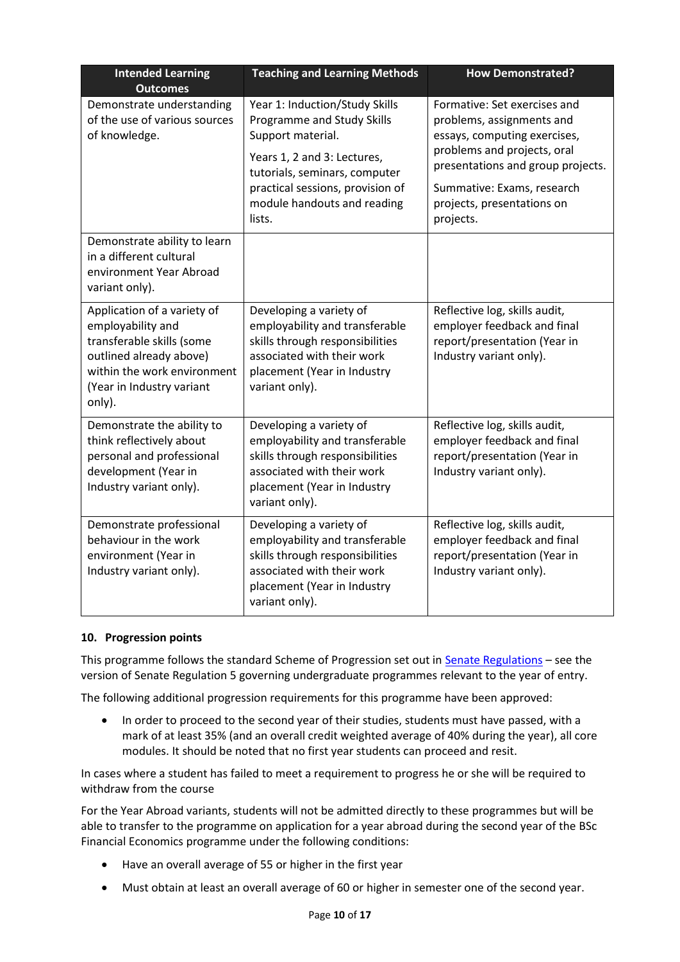| <b>Intended Learning</b><br><b>Outcomes</b>                                                                                                                                    | <b>Teaching and Learning Methods</b>                                                                                                                                                  | <b>How Demonstrated?</b>                                                                                                                                                                    |  |
|--------------------------------------------------------------------------------------------------------------------------------------------------------------------------------|---------------------------------------------------------------------------------------------------------------------------------------------------------------------------------------|---------------------------------------------------------------------------------------------------------------------------------------------------------------------------------------------|--|
| Demonstrate understanding<br>of the use of various sources<br>of knowledge.                                                                                                    | Year 1: Induction/Study Skills<br>Programme and Study Skills<br>Support material.<br>Years 1, 2 and 3: Lectures,<br>tutorials, seminars, computer<br>practical sessions, provision of | Formative: Set exercises and<br>problems, assignments and<br>essays, computing exercises,<br>problems and projects, oral<br>presentations and group projects.<br>Summative: Exams, research |  |
|                                                                                                                                                                                | module handouts and reading<br>lists.                                                                                                                                                 | projects, presentations on<br>projects.                                                                                                                                                     |  |
| Demonstrate ability to learn<br>in a different cultural<br>environment Year Abroad<br>variant only).                                                                           |                                                                                                                                                                                       |                                                                                                                                                                                             |  |
| Application of a variety of<br>employability and<br>transferable skills (some<br>outlined already above)<br>within the work environment<br>(Year in Industry variant<br>only). | Developing a variety of<br>employability and transferable<br>skills through responsibilities<br>associated with their work<br>placement (Year in Industry<br>variant only).           | Reflective log, skills audit,<br>employer feedback and final<br>report/presentation (Year in<br>Industry variant only).                                                                     |  |
| Demonstrate the ability to<br>think reflectively about<br>personal and professional<br>development (Year in<br>Industry variant only).                                         | Developing a variety of<br>employability and transferable<br>skills through responsibilities<br>associated with their work<br>placement (Year in Industry<br>variant only).           | Reflective log, skills audit,<br>employer feedback and final<br>report/presentation (Year in<br>Industry variant only).                                                                     |  |
| Demonstrate professional<br>behaviour in the work<br>environment (Year in<br>Industry variant only).                                                                           | Developing a variety of<br>employability and transferable<br>skills through responsibilities<br>associated with their work<br>placement (Year in Industry<br>variant only).           | Reflective log, skills audit,<br>employer feedback and final<br>report/presentation (Year in<br>Industry variant only).                                                                     |  |

#### **10. Progression points**

This programme follows the standard Scheme of Progression set out i[n Senate Regulations](http://www.le.ac.uk/senate-regulations) – see the version of Senate Regulation 5 governing undergraduate programmes relevant to the year of entry.

The following additional progression requirements for this programme have been approved:

• In order to proceed to the second year of their studies, students must have passed, with a mark of at least 35% (and an overall credit weighted average of 40% during the year), all core modules. It should be noted that no first year students can proceed and resit.

In cases where a student has failed to meet a requirement to progress he or she will be required to withdraw from the course

For the Year Abroad variants, students will not be admitted directly to these programmes but will be able to transfer to the programme on application for a year abroad during the second year of the BSc Financial Economics programme under the following conditions:

- Have an overall average of 55 or higher in the first year
- Must obtain at least an overall average of 60 or higher in semester one of the second year.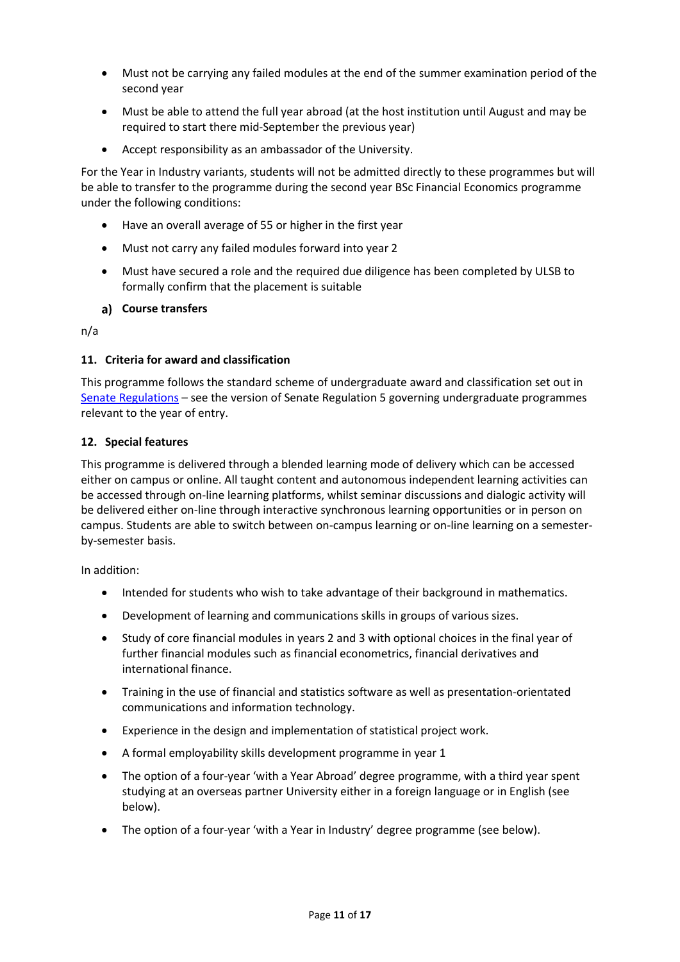- Must not be carrying any failed modules at the end of the summer examination period of the second year
- Must be able to attend the full year abroad (at the host institution until August and may be required to start there mid-September the previous year)
- Accept responsibility as an ambassador of the University.

For the Year in Industry variants, students will not be admitted directly to these programmes but will be able to transfer to the programme during the second year BSc Financial Economics programme under the following conditions:

- Have an overall average of 55 or higher in the first year
- Must not carry any failed modules forward into year 2
- Must have secured a role and the required due diligence has been completed by ULSB to formally confirm that the placement is suitable

### **Course transfers**

n/a

#### **11. Criteria for award and classification**

This programme follows the standard scheme of undergraduate award and classification set out in [Senate Regulations](http://www.le.ac.uk/senate-regulations) – see the version of Senate Regulation 5 governing undergraduate programmes relevant to the year of entry.

#### **12. Special features**

This programme is delivered through a blended learning mode of delivery which can be accessed either on campus or online. All taught content and autonomous independent learning activities can be accessed through on-line learning platforms, whilst seminar discussions and dialogic activity will be delivered either on-line through interactive synchronous learning opportunities or in person on campus. Students are able to switch between on-campus learning or on-line learning on a semesterby-semester basis.

In addition:

- Intended for students who wish to take advantage of their background in mathematics.
- Development of learning and communications skills in groups of various sizes.
- Study of core financial modules in years 2 and 3 with optional choices in the final year of further financial modules such as financial econometrics, financial derivatives and international finance.
- Training in the use of financial and statistics software as well as presentation-orientated communications and information technology.
- Experience in the design and implementation of statistical project work.
- A formal employability skills development programme in year 1
- The option of a four-year 'with a Year Abroad' degree programme, with a third year spent studying at an overseas partner University either in a foreign language or in English (see below).
- The option of a four-year 'with a Year in Industry' degree programme (see below).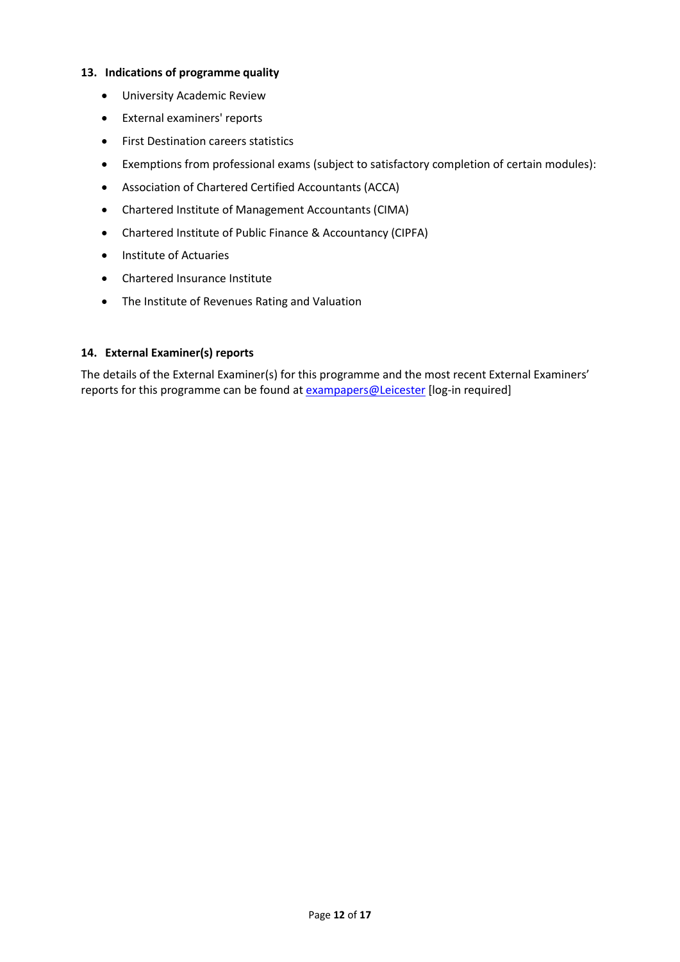#### **13. Indications of programme quality**

- University Academic Review
- External examiners' reports
- **•** First Destination careers statistics
- Exemptions from professional exams (subject to satisfactory completion of certain modules):
- Association of Chartered Certified Accountants (ACCA)
- Chartered Institute of Management Accountants (CIMA)
- Chartered Institute of Public Finance & Accountancy (CIPFA)
- Institute of Actuaries
- Chartered Insurance Institute
- The Institute of Revenues Rating and Valuation

### **14. External Examiner(s) reports**

The details of the External Examiner(s) for this programme and the most recent External Examiners' reports for this programme can be found at **[exampapers@Leicester](https://exampapers.le.ac.uk/)** [log-in required]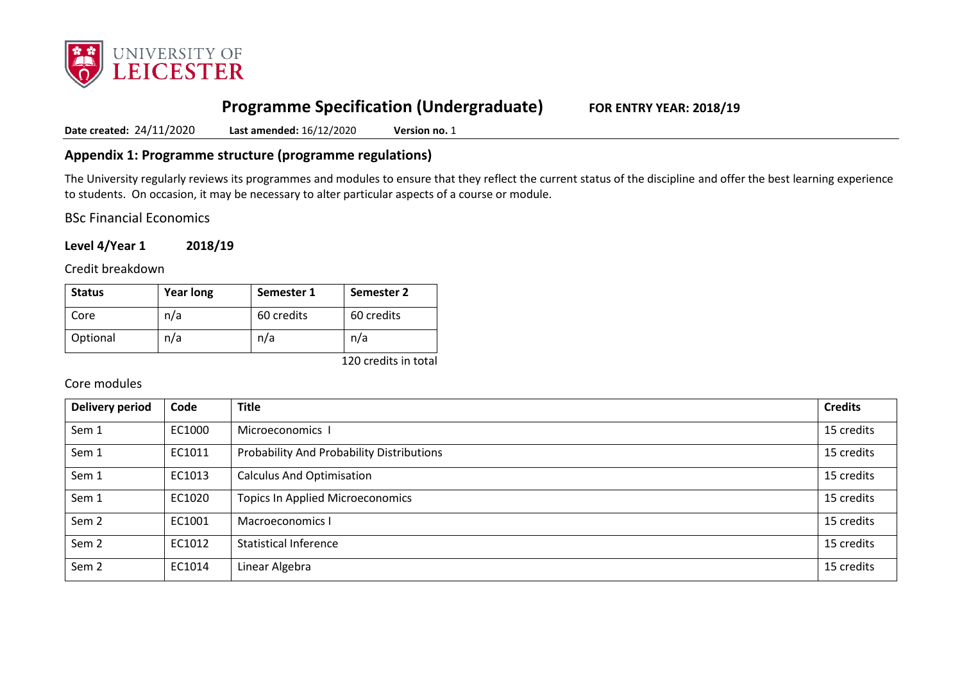

# **Programme Specification (Undergraduate) FOR ENTRY YEAR: 2018/19**

**Date created:** 24/11/2020 **Last amended:** 16/12/2020 **Version no.** 1

## **Appendix 1: Programme structure (programme regulations)**

The University regularly reviews its programmes and modules to ensure that they reflect the current status of the discipline and offer the best learning experience to students. On occasion, it may be necessary to alter particular aspects of a course or module.

BSc Financial Economics

**Level 4/Year 1 2018/19**

Credit breakdown

| <b>Status</b> | <b>Year long</b> | Semester 1 | <b>Semester 2</b> |
|---------------|------------------|------------|-------------------|
| Core          | n/a              | 60 credits | 60 credits        |
| Optional      | n/a              | n/a        | n/a               |

120 credits in total

### Core modules

| Delivery period  | Code   | <b>Title</b>                              | <b>Credits</b> |
|------------------|--------|-------------------------------------------|----------------|
| Sem 1            | EC1000 | Microeconomics I                          | 15 credits     |
| Sem 1            | EC1011 | Probability And Probability Distributions | 15 credits     |
| Sem 1            | EC1013 | <b>Calculus And Optimisation</b>          | 15 credits     |
| Sem 1            | EC1020 | <b>Topics In Applied Microeconomics</b>   | 15 credits     |
| Sem <sub>2</sub> | EC1001 | Macroeconomics I                          | 15 credits     |
| Sem <sub>2</sub> | EC1012 | <b>Statistical Inference</b>              | 15 credits     |
| Sem <sub>2</sub> | EC1014 | Linear Algebra                            | 15 credits     |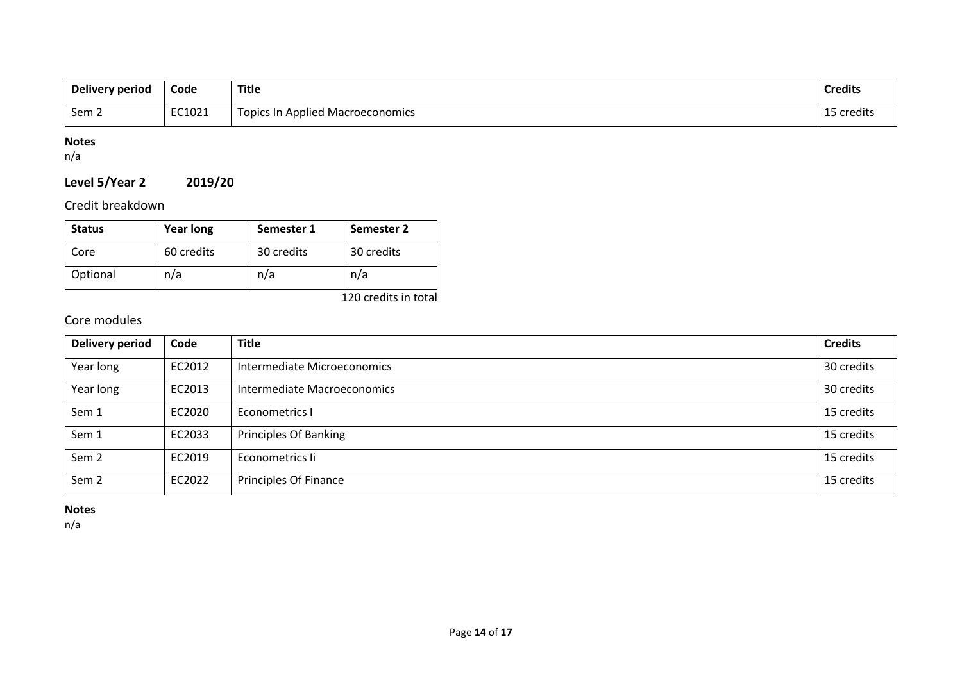| Delivery period  | Code   | Title                            | <b>Credits</b> |
|------------------|--------|----------------------------------|----------------|
| Sem <sub>2</sub> | EC1021 | Topics In Applied Macroeconomics | credits        |

## **Notes**

n/a

## **Level 5/Year 2 2019/20**

Credit breakdown

| <b>Status</b> | <b>Year long</b> | Semester 1 | Semester 2 |
|---------------|------------------|------------|------------|
| Core          | 60 credits       | 30 credits | 30 credits |
| Optional      | n/a              | n/a        | n/a        |

120 credits in total

## Core modules

| <b>Delivery period</b> | Code   | <b>Title</b>                 | <b>Credits</b> |
|------------------------|--------|------------------------------|----------------|
| Year long              | EC2012 | Intermediate Microeconomics  | 30 credits     |
| Year long              | EC2013 | Intermediate Macroeconomics  | 30 credits     |
| Sem 1                  | EC2020 | Econometrics I               | 15 credits     |
| Sem 1                  | EC2033 | <b>Principles Of Banking</b> | 15 credits     |
| Sem <sub>2</sub>       | EC2019 | Econometrics li              | 15 credits     |
| Sem <sub>2</sub>       | EC2022 | Principles Of Finance        | 15 credits     |

**Notes**

n/a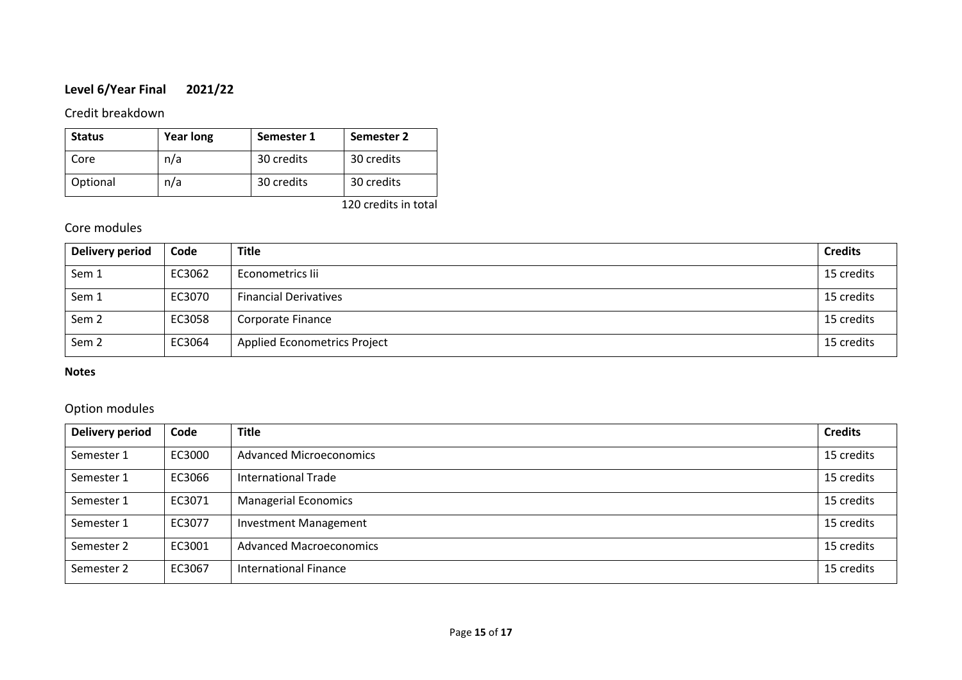## **Level 6/Year Final 2021/22**

## Credit breakdown

| <b>Status</b> | <b>Year long</b> | Semester 1 | Semester 2 |
|---------------|------------------|------------|------------|
| Core          | n/a              | 30 credits | 30 credits |
| Optional      | n/a              | 30 credits | 30 credits |

120 credits in total

## Core modules

| Delivery period  | Code   | <b>Title</b>                        | <b>Credits</b> |
|------------------|--------|-------------------------------------|----------------|
| Sem 1            | EC3062 | Econometrics lii                    | 15 credits     |
| Sem 1            | EC3070 | <b>Financial Derivatives</b>        | 15 credits     |
| Sem <sub>2</sub> | EC3058 | Corporate Finance                   | 15 credits     |
| Sem <sub>2</sub> | EC3064 | <b>Applied Econometrics Project</b> | 15 credits     |

### **Notes**

## Option modules

| <b>Delivery period</b> | Code   | <b>Title</b>                   | <b>Credits</b> |
|------------------------|--------|--------------------------------|----------------|
| Semester 1             | EC3000 | <b>Advanced Microeconomics</b> | 15 credits     |
| Semester 1             | EC3066 | <b>International Trade</b>     | 15 credits     |
| Semester 1             | EC3071 | <b>Managerial Economics</b>    | 15 credits     |
| Semester 1             | EC3077 | <b>Investment Management</b>   | 15 credits     |
| Semester 2             | EC3001 | <b>Advanced Macroeconomics</b> | 15 credits     |
| Semester 2             | EC3067 | <b>International Finance</b>   | 15 credits     |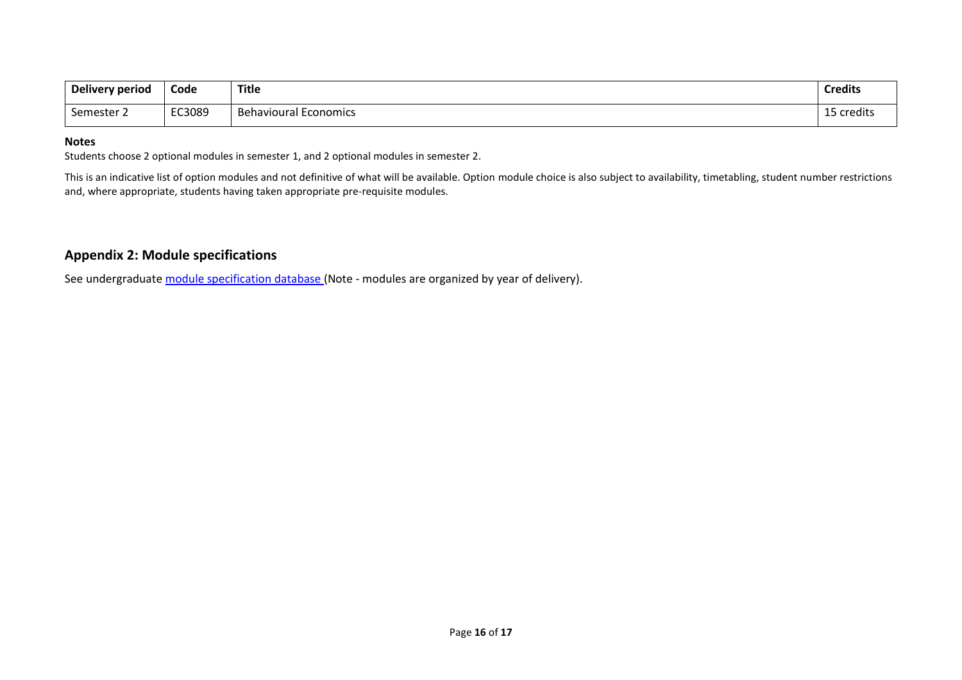| Delivery period | Code   | <b>Title</b>                 | <b>Credits</b>  |
|-----------------|--------|------------------------------|-----------------|
| Semester 2      | EC3089 | <b>Behavioural Economics</b> | .<br>15 credits |

#### **Notes**

Students choose 2 optional modules in semester 1, and 2 optional modules in semester 2.

This is an indicative list of option modules and not definitive of what will be available. Option module choice is also subject to availability, timetabling, student number restrictions and, where appropriate, students having taken appropriate pre-requisite modules.

## **Appendix 2: Module specifications**

See undergraduate [module specification database](http://www.le.ac.uk/sas/courses/documentation) (Note - modules are organized by year of delivery).